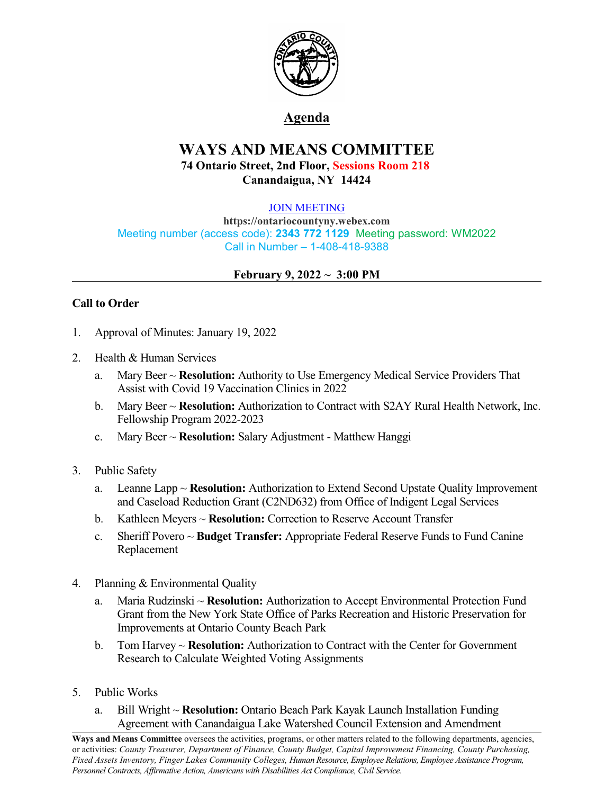

# **Agenda**

# **WAYS AND MEANS COMMITTEE 74 Ontario Street, 2nd Floor, Sessions Room 218 Canandaigua, NY 14424**

#### [JOIN MEETING](https://ontariocountyny.webex.com/)

**https://ontariocountyny.webex.com** Meeting number (access code): **2343 772 1129** Meeting password: WM2022 Call in Number – 1-408-418-9388

## **February 9, 2022**  $\sim$  3:00 PM

## **Call to Order**

- 1. Approval of Minutes: January 19, 2022
- 2. Health & Human Services
	- a. Mary Beer ~ **Resolution:** Authority to Use Emergency Medical Service Providers That Assist with Covid 19 Vaccination Clinics in 2022
	- b. Mary Beer ~ **Resolution:** Authorization to Contract with S2AY Rural Health Network, Inc. Fellowship Program 2022-2023
	- c. Mary Beer ~ **Resolution:** Salary Adjustment Matthew Hanggi
- 3. Public Safety
	- a. Leanne Lapp ~ **Resolution:** Authorization to Extend Second Upstate Quality Improvement and Caseload Reduction Grant (C2ND632) from Office of Indigent Legal Services
	- b. Kathleen Meyers ~ **Resolution:** Correction to Reserve Account Transfer
	- c. Sheriff Povero ~ **Budget Transfer:** Appropriate Federal Reserve Funds to Fund Canine Replacement
- 4. Planning & Environmental Quality
	- a. Maria Rudzinski ~ **Resolution:** Authorization to Accept Environmental Protection Fund Grant from the New York State Office of Parks Recreation and Historic Preservation for Improvements at Ontario County Beach Park
	- b. Tom Harvey ~ **Resolution:** Authorization to Contract with the Center for Government Research to Calculate Weighted Voting Assignments
- 5. Public Works
	- a. Bill Wright ~ **Resolution:** Ontario Beach Park Kayak Launch Installation Funding Agreement with Canandaigua Lake Watershed Council Extension and Amendment

**Ways and Means Committee** oversees the activities, programs, or other matters related to the following departments, agencies, or activities: *County Treasurer, Department of Finance, County Budget, Capital Improvement Financing, County Purchasing, Fixed Assets Inventory, Finger Lakes Community Colleges, Human Resource, Employee Relations, Employee Assistance Program, Personnel Contracts, Af irmative Action, Americans with Disabilities Act Compliance, Civil Service.*